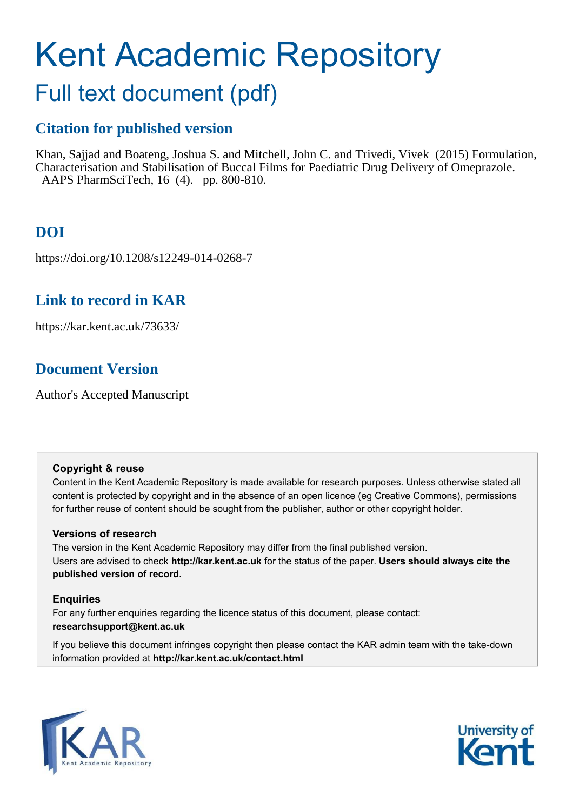# Kent Academic Repository

## Full text document (pdf)

## **Citation for published version**

Khan, Sajjad and Boateng, Joshua S. and Mitchell, John C. and Trivedi, Vivek (2015) Formulation, Characterisation and Stabilisation of Buccal Films for Paediatric Drug Delivery of Omeprazole. AAPS PharmSciTech, 16 (4). pp. 800-810.

## **DOI**

https://doi.org/10.1208/s12249-014-0268-7

## **Link to record in KAR**

https://kar.kent.ac.uk/73633/

## **Document Version**

Author's Accepted Manuscript

#### **Copyright & reuse**

Content in the Kent Academic Repository is made available for research purposes. Unless otherwise stated all content is protected by copyright and in the absence of an open licence (eg Creative Commons), permissions for further reuse of content should be sought from the publisher, author or other copyright holder.

#### **Versions of research**

The version in the Kent Academic Repository may differ from the final published version. Users are advised to check **http://kar.kent.ac.uk** for the status of the paper. **Users should always cite the published version of record.**

#### **Enquiries**

For any further enquiries regarding the licence status of this document, please contact: **researchsupport@kent.ac.uk**

If you believe this document infringes copyright then please contact the KAR admin team with the take-down information provided at **http://kar.kent.ac.uk/contact.html**



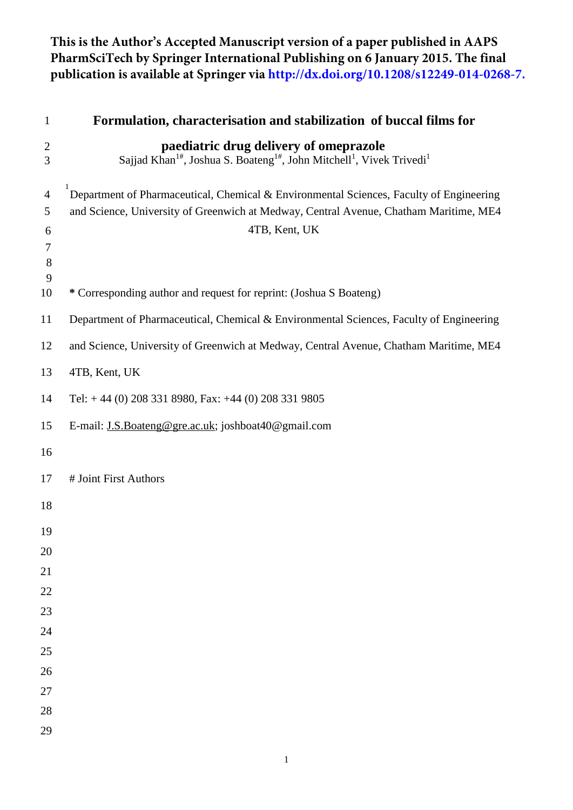## **This is the Author's Accepted Manuscript version of a paper published in AAPS PharmSciTech by Springer International Publishing on 6 January 2015. The final publication is available at Springer via http://dx.doi.org/10.1208/s12249-014-0268-7.**

| $\mathbf{1}$                       | Formulation, characterisation and stabilization of buccal films for                                                                                                                               |
|------------------------------------|---------------------------------------------------------------------------------------------------------------------------------------------------------------------------------------------------|
| $\overline{c}$<br>3                | paediatric drug delivery of omeprazole<br>Sajjad Khan <sup>1#</sup> , Joshua S. Boateng <sup>1#</sup> , John Mitchell <sup>1</sup> , Vivek Trivedi <sup>1</sup>                                   |
| $\overline{4}$<br>5<br>6<br>7<br>8 | Department of Pharmaceutical, Chemical & Environmental Sciences, Faculty of Engineering<br>and Science, University of Greenwich at Medway, Central Avenue, Chatham Maritime, ME4<br>4TB, Kent, UK |
| 9<br>10                            | * Corresponding author and request for reprint: (Joshua S Boateng)                                                                                                                                |
| 11                                 | Department of Pharmaceutical, Chemical & Environmental Sciences, Faculty of Engineering                                                                                                           |
| 12                                 | and Science, University of Greenwich at Medway, Central Avenue, Chatham Maritime, ME4                                                                                                             |
| 13                                 | 4TB, Kent, UK                                                                                                                                                                                     |
| 14                                 | Tel: $+44$ (0) 208 331 8980, Fax: $+44$ (0) 208 331 9805                                                                                                                                          |
| 15                                 | E-mail: J.S.Boateng@gre.ac.uk; joshboat40@gmail.com                                                                                                                                               |
| 16                                 |                                                                                                                                                                                                   |
| 17                                 | # Joint First Authors                                                                                                                                                                             |
| 18                                 |                                                                                                                                                                                                   |
| 19                                 |                                                                                                                                                                                                   |
| 20                                 |                                                                                                                                                                                                   |
| 21                                 |                                                                                                                                                                                                   |
| 22<br>23                           |                                                                                                                                                                                                   |
| 24                                 |                                                                                                                                                                                                   |
| 25                                 |                                                                                                                                                                                                   |
| 26                                 |                                                                                                                                                                                                   |
| 27                                 |                                                                                                                                                                                                   |
| 28                                 |                                                                                                                                                                                                   |
| 29                                 |                                                                                                                                                                                                   |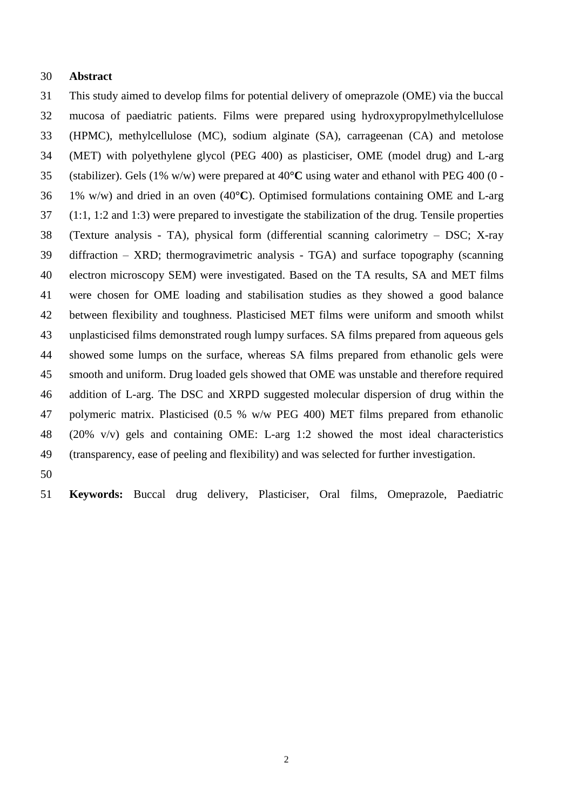#### 30 **Abstract**

31 This study aimed to develop films for potential delivery of omeprazole (OME) via the buccal 32 mucosa of paediatric patients. Films were prepared using hydroxypropylmethylcellulose 33 (HPMC), methylcellulose (MC), sodium alginate (SA), carrageenan (CA) and metolose 34 (MET) with polyethylene glycol (PEG 400) as plasticiser, OME (model drug) and L-arg 35 (stabilizer). Gels (1% w/w) were prepared at 40**°C** using water and ethanol with PEG 400 (0 - 36 1% w/w) and dried in an oven (40**°C**). Optimised formulations containing OME and L-arg 37 (1:1, 1:2 and 1:3) were prepared to investigate the stabilization of the drug. Tensile properties 38 (Texture analysis - TA), physical form (differential scanning calorimetry – DSC; X-ray 39 diffraction – XRD; thermogravimetric analysis - TGA) and surface topography (scanning 40 electron microscopy SEM) were investigated. Based on the TA results, SA and MET films 41 were chosen for OME loading and stabilisation studies as they showed a good balance 42 between flexibility and toughness. Plasticised MET films were uniform and smooth whilst 43 unplasticised films demonstrated rough lumpy surfaces. SA films prepared from aqueous gels 44 showed some lumps on the surface, whereas SA films prepared from ethanolic gels were 45 smooth and uniform. Drug loaded gels showed that OME was unstable and therefore required 46 addition of L-arg. The DSC and XRPD suggested molecular dispersion of drug within the 47 polymeric matrix. Plasticised (0.5 % w/w PEG 400) MET films prepared from ethanolic 48 (20% v/v) gels and containing OME: L-arg 1:2 showed the most ideal characteristics 49 (transparency, ease of peeling and flexibility) and was selected for further investigation.

50

51 **Keywords:** Buccal drug delivery, Plasticiser, Oral films, Omeprazole, Paediatric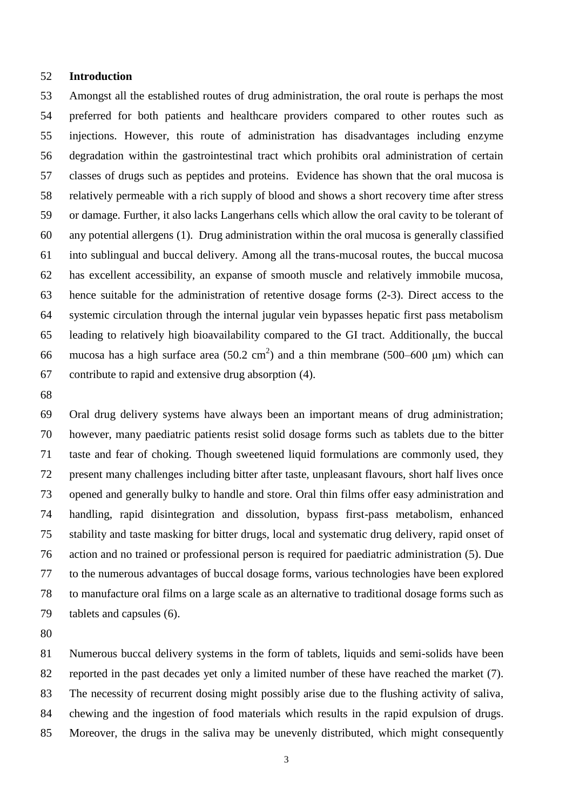#### 52 **Introduction**

53 Amongst all the established routes of drug administration, the oral route is perhaps the most 54 preferred for both patients and healthcare providers compared to other routes such as 55 injections. However, this route of administration has disadvantages including enzyme 56 degradation within the gastrointestinal tract which prohibits oral administration of certain 57 classes of drugs such as peptides and proteins. Evidence has shown that the oral mucosa is 58 relatively permeable with a rich supply of blood and shows a short recovery time after stress 59 or damage. Further, it also lacks Langerhans cells which allow the oral cavity to be tolerant of 60 any potential allergens (1). Drug administration within the oral mucosa is generally classified 61 into sublingual and buccal delivery. Among all the trans-mucosal routes, the buccal mucosa 62 has excellent accessibility, an expanse of smooth muscle and relatively immobile mucosa, 63 hence suitable for the administration of retentive dosage forms (2-3). Direct access to the 64 systemic circulation through the internal jugular vein bypasses hepatic first pass metabolism 65 leading to relatively high bioavailability compared to the GI tract. Additionally, the buccal 66 mucosa has a high surface area  $(50.2 \text{ cm}^2)$  and a thin membrane  $(500-600 \text{ }\mu\text{m})$  which can 67 contribute to rapid and extensive drug absorption (4).

68

69 Oral drug delivery systems have always been an important means of drug administration; 70 however, many paediatric patients resist solid dosage forms such as tablets due to the bitter 71 taste and fear of choking. Though sweetened liquid formulations are commonly used, they 72 present many challenges including bitter after taste, unpleasant flavours, short half lives once 73 opened and generally bulky to handle and store. Oral thin films offer easy administration and 74 handling, rapid disintegration and dissolution, bypass first-pass metabolism, enhanced 75 stability and taste masking for bitter drugs, local and systematic drug delivery, rapid onset of 76 action and no trained or professional person is required for paediatric administration (5). Due 77 to the numerous advantages of buccal dosage forms, various technologies have been explored 78 to manufacture oral films on a large scale as an alternative to traditional dosage forms such as 79 tablets and capsules (6).

80

81 Numerous buccal delivery systems in the form of tablets, liquids and semi-solids have been 82 reported in the past decades yet only a limited number of these have reached the market (7). 83 The necessity of recurrent dosing might possibly arise due to the flushing activity of saliva, 84 chewing and the ingestion of food materials which results in the rapid expulsion of drugs. 85 Moreover, the drugs in the saliva may be unevenly distributed, which might consequently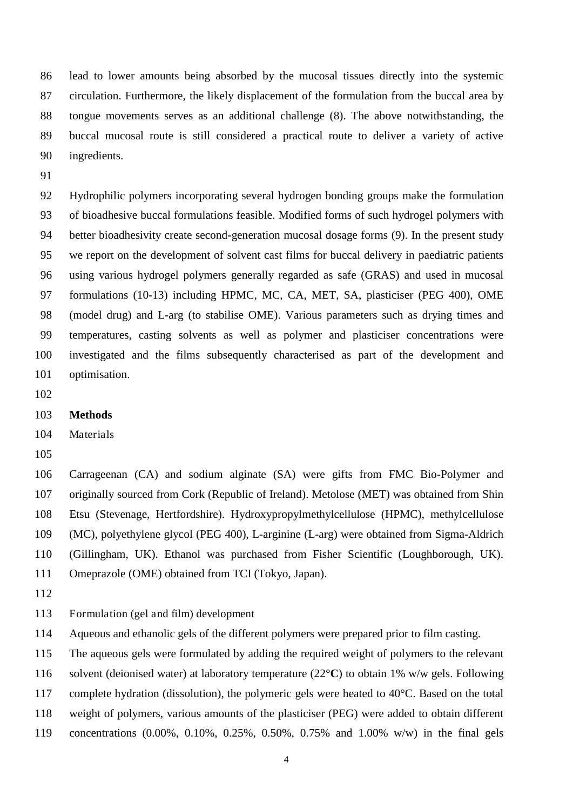86 lead to lower amounts being absorbed by the mucosal tissues directly into the systemic 87 circulation. Furthermore, the likely displacement of the formulation from the buccal area by 88 tongue movements serves as an additional challenge (8). The above notwithstanding, the 89 buccal mucosal route is still considered a practical route to deliver a variety of active 90 ingredients.

91

92 Hydrophilic polymers incorporating several hydrogen bonding groups make the formulation 93 of bioadhesive buccal formulations feasible. Modified forms of such hydrogel polymers with 94 better bioadhesivity create second-generation mucosal dosage forms (9). In the present study 95 we report on the development of solvent cast films for buccal delivery in paediatric patients 96 using various hydrogel polymers generally regarded as safe (GRAS) and used in mucosal 97 formulations (10-13) including HPMC, MC, CA, MET, SA, plasticiser (PEG 400), OME 98 (model drug) and L-arg (to stabilise OME). Various parameters such as drying times and 99 temperatures, casting solvents as well as polymer and plasticiser concentrations were 100 investigated and the films subsequently characterised as part of the development and 101 optimisation.

102

#### 103 **Methods**

104 Materials

105

106 Carrageenan (CA) and sodium alginate (SA) were gifts from FMC Bio-Polymer and 107 originally sourced from Cork (Republic of Ireland). Metolose (MET) was obtained from Shin 108 Etsu (Stevenage, Hertfordshire). Hydroxypropylmethylcellulose (HPMC), methylcellulose 109 (MC), polyethylene glycol (PEG 400), L-arginine (L-arg) were obtained from Sigma-Aldrich 110 (Gillingham, UK). Ethanol was purchased from Fisher Scientific (Loughborough, UK). 111 Omeprazole (OME) obtained from TCI (Tokyo, Japan).

112

113 Formulation (gel and film) development

114 Aqueous and ethanolic gels of the different polymers were prepared prior to film casting.

115 The aqueous gels were formulated by adding the required weight of polymers to the relevant

116 solvent (deionised water) at laboratory temperature (22**°C**) to obtain 1% w/w gels. Following

117 complete hydration (dissolution), the polymeric gels were heated to 40°C. Based on the total

118 weight of polymers, various amounts of the plasticiser (PEG) were added to obtain different

119 concentrations (0.00%, 0.10%, 0.25%, 0.50%, 0.75% and 1.00% w/w) in the final gels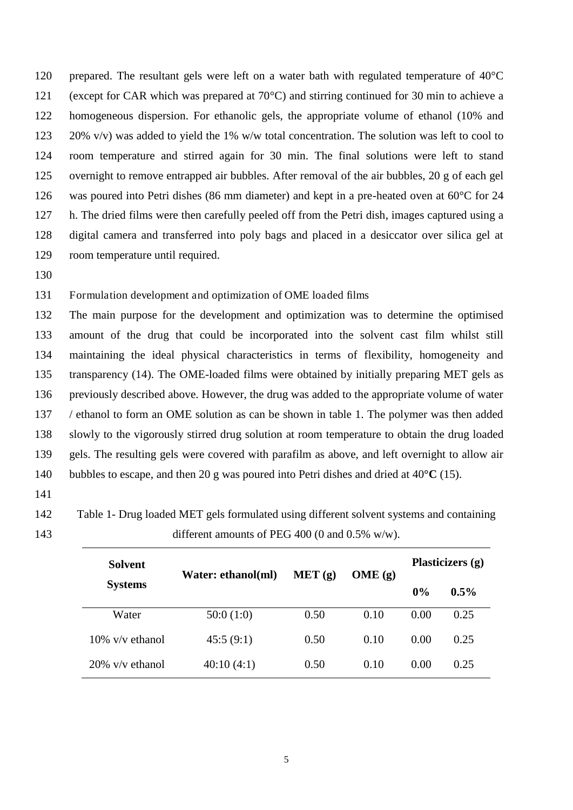120 prepared. The resultant gels were left on a water bath with regulated temperature of 40°C 121 (except for CAR which was prepared at 70°C) and stirring continued for 30 min to achieve a 122 homogeneous dispersion. For ethanolic gels, the appropriate volume of ethanol (10% and 123 20% v/v) was added to yield the 1% w/w total concentration. The solution was left to cool to 124 room temperature and stirred again for 30 min. The final solutions were left to stand 125 overnight to remove entrapped air bubbles. After removal of the air bubbles, 20 g of each gel 126 was poured into Petri dishes (86 mm diameter) and kept in a pre-heated oven at 60°C for 24 127 h. The dried films were then carefully peeled off from the Petri dish, images captured using a 128 digital camera and transferred into poly bags and placed in a desiccator over silica gel at 129 room temperature until required.

130

#### 131 Formulation development and optimization of OME loaded films

132 The main purpose for the development and optimization was to determine the optimised 133 amount of the drug that could be incorporated into the solvent cast film whilst still 134 maintaining the ideal physical characteristics in terms of flexibility, homogeneity and 135 transparency (14). The OME-loaded films were obtained by initially preparing MET gels as 136 previously described above. However, the drug was added to the appropriate volume of water 137 / ethanol to form an OME solution as can be shown in table 1. The polymer was then added 138 slowly to the vigorously stirred drug solution at room temperature to obtain the drug loaded 139 gels. The resulting gels were covered with parafilm as above, and left overnight to allow air 140 bubbles to escape, and then 20 g was poured into Petri dishes and dried at 40**°C** (15).

- 141
- 142 Table 1- Drug loaded MET gels formulated using different solvent systems and containing 143 different amounts of PEG 400 (0 and 0.5% w/w).

| Solvent            | Water: ethanol(ml) | MET(g) | OME(g) | Plasticizers (g) |         |  |
|--------------------|--------------------|--------|--------|------------------|---------|--|
| <b>Systems</b>     |                    |        |        | 0%               | $0.5\%$ |  |
| Water              | 50:0(1:0)          | 0.50   | 0.10   | 0.00             | 0.25    |  |
| $10\%$ v/v ethanol | 45:5(9:1)          | 0.50   | 0.10   | 0.00             | 0.25    |  |
| $20\%$ v/v ethanol | 40:10(4:1)         | 0.50   | 0.10   | 0.00             | 0.25    |  |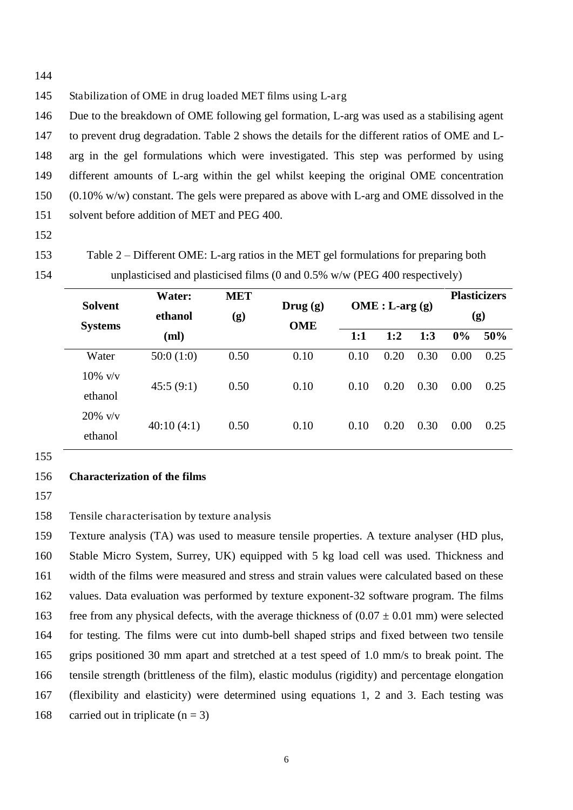144

145 Stabilization of OME in drug loaded MET films using L-arg

146 Due to the breakdown of OME following gel formation, L-arg was used as a stabilising agent 147 to prevent drug degradation. Table 2 shows the details for the different ratios of OME and L-148 arg in the gel formulations which were investigated. This step was performed by using 149 different amounts of L-arg within the gel whilst keeping the original OME concentration 150 (0.10% w/w) constant. The gels were prepared as above with L-arg and OME dissolved in the 151 solvent before addition of MET and PEG 400.

- 152
- 

153 Table 2 – Different OME: L-arg ratios in the MET gel formulations for preparing both 154 unplasticised and plasticised films (0 and 0.5% w/w (PEG 400 respectively)

| <b>Water:</b> | <b>MET</b> | $Drug (g)$<br><b>OME</b> | $OME: L-arg(g)$ |              |      | <b>Plasticizers</b><br>(g) |      |      |
|---------------|------------|--------------------------|-----------------|--------------|------|----------------------------|------|------|
| ethanol       | (g)        |                          |                 |              |      |                            |      |      |
| (ml)          |            |                          | 1:1             | 1:2          | 1:3  | 0%                         | 50%  |      |
| 50:0(1:0)     | 0.50       | 0.10                     | 0.10            | 0.20         | 0.30 | 0.00                       | 0.25 |      |
| 45:5(9:1)     | 0.50       | 0.10                     |                 | 0.20         | 0.30 | 0.00                       | 0.25 |      |
|               |            |                          |                 |              |      |                            |      |      |
|               | $20\%$ v/v |                          |                 |              |      |                            |      | 0.25 |
|               |            |                          |                 |              |      |                            |      |      |
|               | 40:10(4:1) | 0.50                     | 0.10            | 0.10<br>0.10 | 0.20 | 0.30                       | 0.00 |      |

155

#### 156 **Characterization of the films**

157

158 Tensile characterisation by texture analysis

159 Texture analysis (TA) was used to measure tensile properties. A texture analyser (HD plus, 160 Stable Micro System, Surrey, UK) equipped with 5 kg load cell was used. Thickness and 161 width of the films were measured and stress and strain values were calculated based on these 162 values. Data evaluation was performed by texture exponent-32 software program. The films 163 free from any physical defects, with the average thickness of  $(0.07 \pm 0.01 \text{ mm})$  were selected 164 for testing. The films were cut into dumb-bell shaped strips and fixed between two tensile 165 grips positioned 30 mm apart and stretched at a test speed of 1.0 mm/s to break point. The 166 tensile strength (brittleness of the film), elastic modulus (rigidity) and percentage elongation 167 (flexibility and elasticity) were determined using equations 1, 2 and 3. Each testing was 168 carried out in triplicate  $(n = 3)$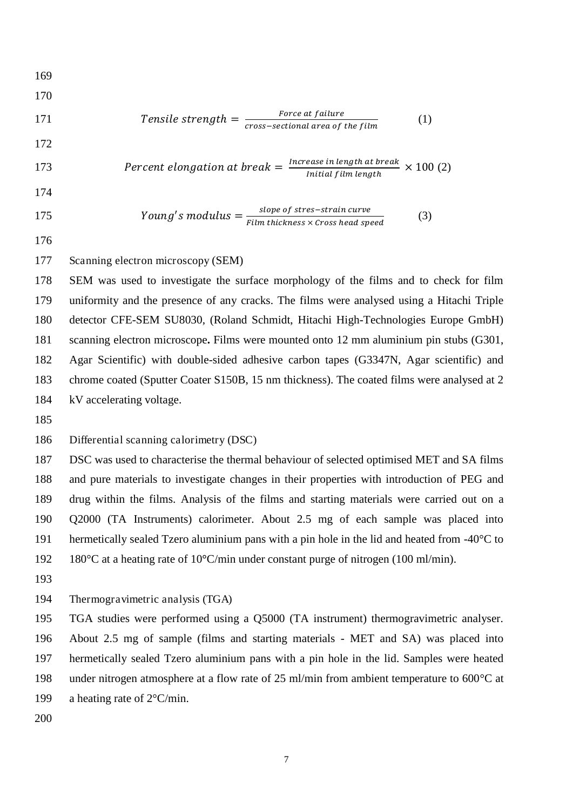169

170

171 Tensile strength = 
$$
\frac{Force \ at failure}{cross-sectional \ area \ of \ the \ film}
$$
 (1)

172

173 *Percent elongation at break* = 
$$
\frac{Increase \text{ in length at break}}{Initial \text{ film length}} \times 100 \text{ (2)}
$$

174

175  $Young's modulus = \frac{slope \space of \space sites = 11.1 \space true}{Film \space thickness \times Cross \space head \space speed}$  (3)

176

#### 177 Scanning electron microscopy (SEM)

178 SEM was used to investigate the surface morphology of the films and to check for film 179 uniformity and the presence of any cracks. The films were analysed using a Hitachi Triple 180 detector CFE-SEM SU8030, (Roland Schmidt, Hitachi High-Technologies Europe GmbH) 181 scanning electron microscope**.** Films were mounted onto 12 mm aluminium pin stubs (G301, 182 Agar Scientific) with double-sided adhesive carbon tapes (G3347N, Agar scientific) and 183 chrome coated (Sputter Coater S150B, 15 nm thickness). The coated films were analysed at 2 184 kV accelerating voltage.

185

186 Differential scanning calorimetry (DSC)

187 DSC was used to characterise the thermal behaviour of selected optimised MET and SA films 188 and pure materials to investigate changes in their properties with introduction of PEG and 189 drug within the films. Analysis of the films and starting materials were carried out on a 190 Q2000 (TA Instruments) calorimeter. About 2.5 mg of each sample was placed into 191 hermetically sealed Tzero aluminium pans with a pin hole in the lid and heated from  $-40^{\circ}$ C to 192 180°C at a heating rate of 10**°**C/min under constant purge of nitrogen (100 ml/min).

193

194 Thermogravimetric analysis (TGA)

195 TGA studies were performed using a Q5000 (TA instrument) thermogravimetric analyser.

196 About 2.5 mg of sample (films and starting materials - MET and SA) was placed into

197 hermetically sealed Tzero aluminium pans with a pin hole in the lid. Samples were heated 198 under nitrogen atmosphere at a flow rate of 25 ml/min from ambient temperature to 600 °C at

199 a heating rate of 2°C/min.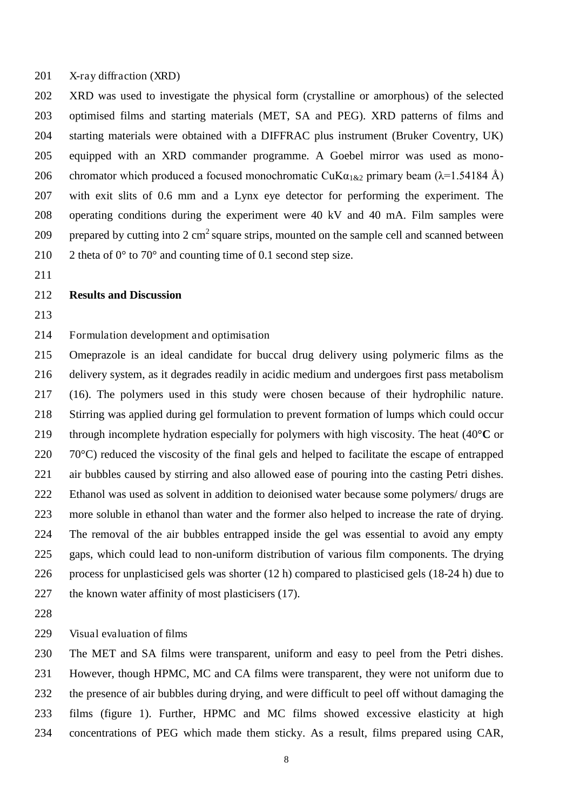201 X-ray diffraction (XRD)

202 XRD was used to investigate the physical form (crystalline or amorphous) of the selected 203 optimised films and starting materials (MET, SA and PEG). XRD patterns of films and 204 starting materials were obtained with a DIFFRAC plus instrument (Bruker Coventry, UK) 205 equipped with an XRD commander programme. A Goebel mirror was used as mono-206 chromator which produced a focused monochromatic CuK $\alpha_{1\&2}$  primary beam ( $\lambda$ =1.54184 Å) 207 with exit slits of 0.6 mm and a Lynx eye detector for performing the experiment. The 208 operating conditions during the experiment were 40 kV and 40 mA. Film samples were 209 prepared by cutting into 2 cm<sup>2</sup> square strips, mounted on the sample cell and scanned between

211

#### 212 **Results and Discussion**

213

#### 214 Formulation development and optimisation

210 2 theta of  $0^{\circ}$  to  $70^{\circ}$  and counting time of 0.1 second step size.

215 Omeprazole is an ideal candidate for buccal drug delivery using polymeric films as the 216 delivery system, as it degrades readily in acidic medium and undergoes first pass metabolism 217 (16). The polymers used in this study were chosen because of their hydrophilic nature. 218 Stirring was applied during gel formulation to prevent formation of lumps which could occur 219 through incomplete hydration especially for polymers with high viscosity. The heat (40**°C** or  $220$  70 $^{\circ}$ C) reduced the viscosity of the final gels and helped to facilitate the escape of entrapped 221 air bubbles caused by stirring and also allowed ease of pouring into the casting Petri dishes. 222 Ethanol was used as solvent in addition to deionised water because some polymers/ drugs are 223 more soluble in ethanol than water and the former also helped to increase the rate of drying. 224 The removal of the air bubbles entrapped inside the gel was essential to avoid any empty 225 gaps, which could lead to non-uniform distribution of various film components. The drying 226 process for unplasticised gels was shorter (12 h) compared to plasticised gels (18-24 h) due to 227 the known water affinity of most plasticisers (17).

228

229 Visual evaluation of films

230 The MET and SA films were transparent, uniform and easy to peel from the Petri dishes. 231 However, though HPMC, MC and CA films were transparent, they were not uniform due to 232 the presence of air bubbles during drying, and were difficult to peel off without damaging the 233 films (figure 1). Further, HPMC and MC films showed excessive elasticity at high 234 concentrations of PEG which made them sticky. As a result, films prepared using CAR,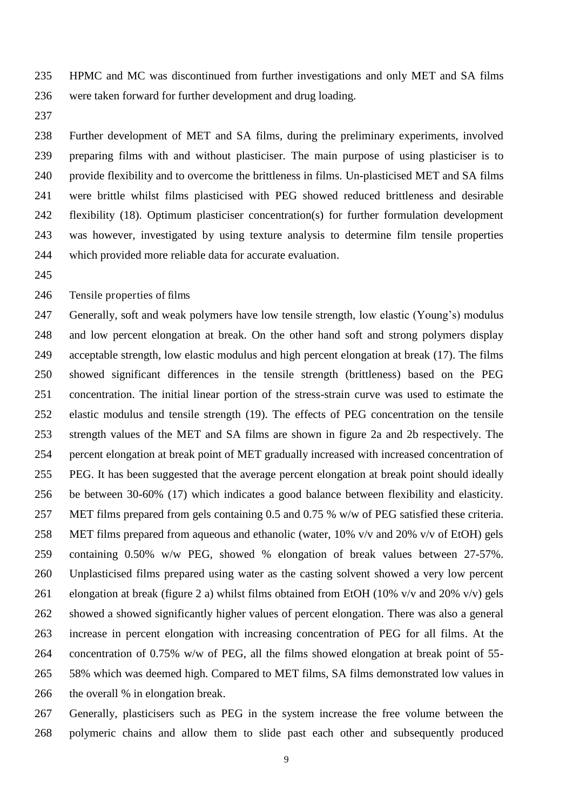235 HPMC and MC was discontinued from further investigations and only MET and SA films 236 were taken forward for further development and drug loading.

237

238 Further development of MET and SA films, during the preliminary experiments, involved 239 preparing films with and without plasticiser. The main purpose of using plasticiser is to 240 provide flexibility and to overcome the brittleness in films. Un-plasticised MET and SA films 241 were brittle whilst films plasticised with PEG showed reduced brittleness and desirable 242 flexibility (18). Optimum plasticiser concentration(s) for further formulation development 243 was however, investigated by using texture analysis to determine film tensile properties 244 which provided more reliable data for accurate evaluation.

245

246 Tensile properties of films

247 Generally, soft and weak polymers have low tensile strength, low elastic (Young's) modulus 248 and low percent elongation at break. On the other hand soft and strong polymers display 249 acceptable strength, low elastic modulus and high percent elongation at break (17). The films 250 showed significant differences in the tensile strength (brittleness) based on the PEG 251 concentration. The initial linear portion of the stress-strain curve was used to estimate the 252 elastic modulus and tensile strength (19). The effects of PEG concentration on the tensile 253 strength values of the MET and SA films are shown in figure 2a and 2b respectively. The 254 percent elongation at break point of MET gradually increased with increased concentration of 255 PEG. It has been suggested that the average percent elongation at break point should ideally 256 be between 30-60% (17) which indicates a good balance between flexibility and elasticity. 257 MET films prepared from gels containing 0.5 and 0.75 % w/w of PEG satisfied these criteria. 258 MET films prepared from aqueous and ethanolic (water, 10% v/v and 20% v/v of EtOH) gels 259 containing 0.50% w/w PEG, showed % elongation of break values between 27-57%. 260 Unplasticised films prepared using water as the casting solvent showed a very low percent 261 elongation at break (figure 2 a) whilst films obtained from EtOH (10% v/v and 20% v/v) gels 262 showed a showed significantly higher values of percent elongation. There was also a general 263 increase in percent elongation with increasing concentration of PEG for all films. At the 264 concentration of 0.75% w/w of PEG, all the films showed elongation at break point of 55- 265 58% which was deemed high. Compared to MET films, SA films demonstrated low values in 266 the overall % in elongation break.

267 Generally, plasticisers such as PEG in the system increase the free volume between the 268 polymeric chains and allow them to slide past each other and subsequently produced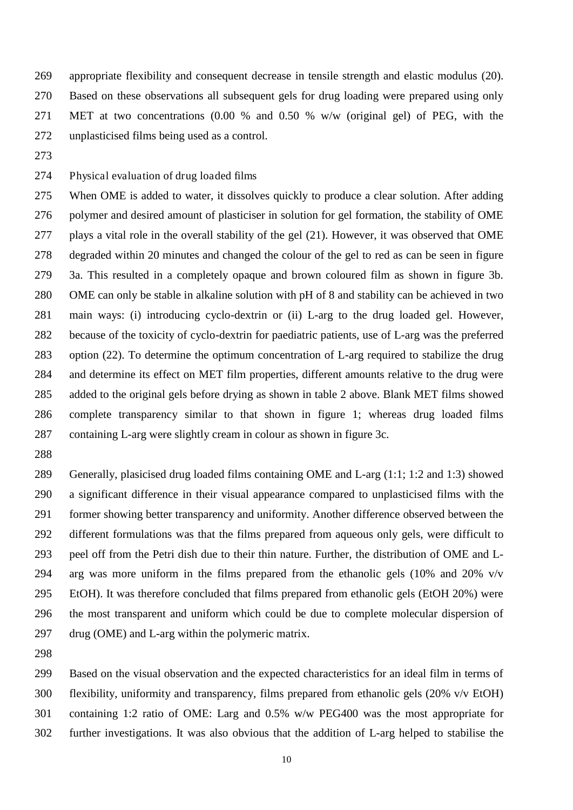269 appropriate flexibility and consequent decrease in tensile strength and elastic modulus (20). 270 Based on these observations all subsequent gels for drug loading were prepared using only 271 MET at two concentrations (0.00 % and 0.50 % w/w (original gel) of PEG, with the 272 unplasticised films being used as a control.

273

274 Physical evaluation of drug loaded films

275 When OME is added to water, it dissolves quickly to produce a clear solution. After adding 276 polymer and desired amount of plasticiser in solution for gel formation, the stability of OME 277 plays a vital role in the overall stability of the gel (21). However, it was observed that OME 278 degraded within 20 minutes and changed the colour of the gel to red as can be seen in figure 279 3a. This resulted in a completely opaque and brown coloured film as shown in figure 3b. 280 OME can only be stable in alkaline solution with pH of 8 and stability can be achieved in two 281 main ways: (i) introducing cyclo-dextrin or (ii) L-arg to the drug loaded gel. However, 282 because of the toxicity of cyclo-dextrin for paediatric patients, use of L-arg was the preferred 283 option (22). To determine the optimum concentration of L-arg required to stabilize the drug 284 and determine its effect on MET film properties, different amounts relative to the drug were 285 added to the original gels before drying as shown in table 2 above. Blank MET films showed 286 complete transparency similar to that shown in figure 1; whereas drug loaded films 287 containing L-arg were slightly cream in colour as shown in figure 3c.

288

289 Generally, plasicised drug loaded films containing OME and L-arg (1:1; 1:2 and 1:3) showed 290 a significant difference in their visual appearance compared to unplasticised films with the 291 former showing better transparency and uniformity. Another difference observed between the 292 different formulations was that the films prepared from aqueous only gels, were difficult to 293 peel off from the Petri dish due to their thin nature. Further, the distribution of OME and L-294 arg was more uniform in the films prepared from the ethanolic gels  $(10\%$  and  $20\%$  v/v 295 EtOH). It was therefore concluded that films prepared from ethanolic gels (EtOH 20%) were 296 the most transparent and uniform which could be due to complete molecular dispersion of 297 drug (OME) and L-arg within the polymeric matrix.

298

299 Based on the visual observation and the expected characteristics for an ideal film in terms of 300 flexibility, uniformity and transparency, films prepared from ethanolic gels (20% v/v EtOH) 301 containing 1:2 ratio of OME: Larg and 0.5% w/w PEG400 was the most appropriate for 302 further investigations. It was also obvious that the addition of L-arg helped to stabilise the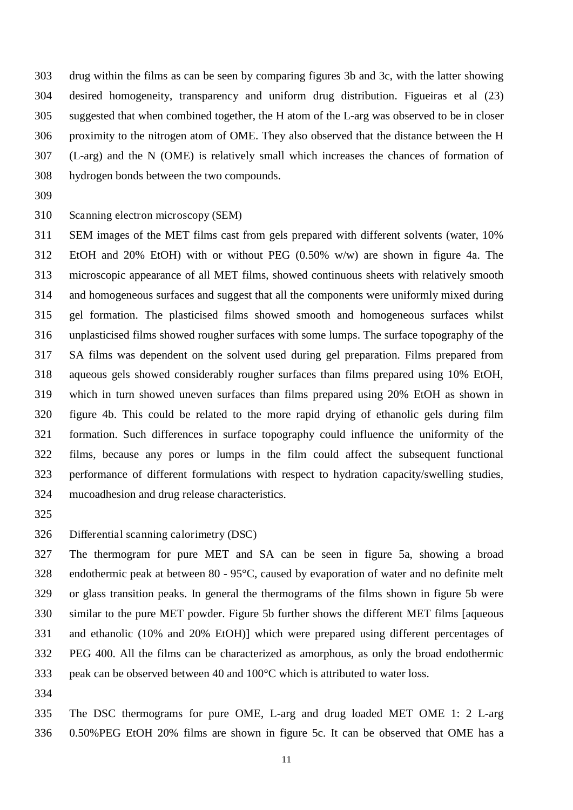303 drug within the films as can be seen by comparing figures 3b and 3c, with the latter showing 304 desired homogeneity, transparency and uniform drug distribution. Figueiras et al (23) 305 suggested that when combined together, the H atom of the L-arg was observed to be in closer 306 proximity to the nitrogen atom of OME. They also observed that the distance between the H 307 (L-arg) and the N (OME) is relatively small which increases the chances of formation of 308 hydrogen bonds between the two compounds.

309

310 Scanning electron microscopy (SEM)

311 SEM images of the MET films cast from gels prepared with different solvents (water, 10% 312 EtOH and 20% EtOH) with or without PEG (0.50% w/w) are shown in figure 4a. The 313 microscopic appearance of all MET films, showed continuous sheets with relatively smooth 314 and homogeneous surfaces and suggest that all the components were uniformly mixed during 315 gel formation. The plasticised films showed smooth and homogeneous surfaces whilst 316 unplasticised films showed rougher surfaces with some lumps. The surface topography of the 317 SA films was dependent on the solvent used during gel preparation. Films prepared from 318 aqueous gels showed considerably rougher surfaces than films prepared using 10% EtOH, 319 which in turn showed uneven surfaces than films prepared using 20% EtOH as shown in 320 figure 4b. This could be related to the more rapid drying of ethanolic gels during film 321 formation. Such differences in surface topography could influence the uniformity of the 322 films, because any pores or lumps in the film could affect the subsequent functional 323 performance of different formulations with respect to hydration capacity/swelling studies, 324 mucoadhesion and drug release characteristics.

325

326 Differential scanning calorimetry (DSC)

327 The thermogram for pure MET and SA can be seen in figure 5a, showing a broad 328 endothermic peak at between 80 - 95°C, caused by evaporation of water and no definite melt 329 or glass transition peaks. In general the thermograms of the films shown in figure 5b were 330 similar to the pure MET powder. Figure 5b further shows the different MET films [aqueous 331 and ethanolic (10% and 20% EtOH)] which were prepared using different percentages of 332 PEG 400. All the films can be characterized as amorphous, as only the broad endothermic 333 peak can be observed between 40 and 100°C which is attributed to water loss.

334

335 The DSC thermograms for pure OME, L-arg and drug loaded MET OME 1: 2 L-arg 336 0.50%PEG EtOH 20% films are shown in figure 5c. It can be observed that OME has a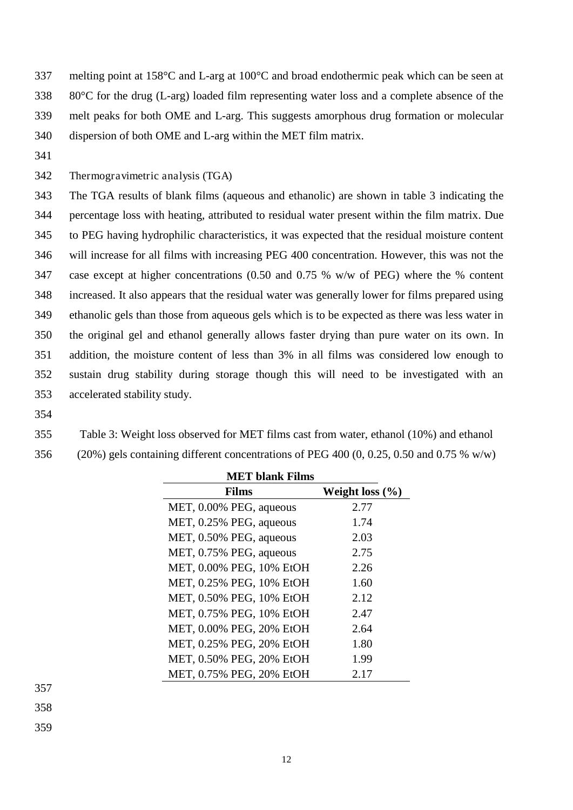337 melting point at 158°C and L-arg at 100°C and broad endothermic peak which can be seen at 338 80°C for the drug (L-arg) loaded film representing water loss and a complete absence of the 339 melt peaks for both OME and L-arg. This suggests amorphous drug formation or molecular 340 dispersion of both OME and L-arg within the MET film matrix.

341

342 Thermogravimetric analysis (TGA)

343 The TGA results of blank films (aqueous and ethanolic) are shown in table 3 indicating the 344 percentage loss with heating, attributed to residual water present within the film matrix. Due 345 to PEG having hydrophilic characteristics, it was expected that the residual moisture content 346 will increase for all films with increasing PEG 400 concentration. However, this was not the 347 case except at higher concentrations (0.50 and 0.75 % w/w of PEG) where the % content 348 increased. It also appears that the residual water was generally lower for films prepared using 349 ethanolic gels than those from aqueous gels which is to be expected as there was less water in 350 the original gel and ethanol generally allows faster drying than pure water on its own. In 351 addition, the moisture content of less than 3% in all films was considered low enough to 352 sustain drug stability during storage though this will need to be investigated with an 353 accelerated stability study.

- 354
- 355 Table 3: Weight loss observed for MET films cast from water, ethanol (10%) and ethanol
- 356 (20%) gels containing different concentrations of PEG 400 (0, 0.25, 0.50 and 0.75 % w/w)

| <b>MET</b> blank Films   |                     |  |  |  |
|--------------------------|---------------------|--|--|--|
| Films                    | Weight loss $(\% )$ |  |  |  |
| MET, 0.00% PEG, aqueous  | 2.77                |  |  |  |
| MET, 0.25% PEG, aqueous  | 1.74                |  |  |  |
| MET, 0.50% PEG, aqueous  | 2.03                |  |  |  |
| MET, 0.75% PEG, aqueous  | 2.75                |  |  |  |
| MET, 0.00% PEG, 10% EtOH | 2.26                |  |  |  |
| MET, 0.25% PEG, 10% EtOH | 1.60                |  |  |  |
| MET, 0.50% PEG, 10% EtOH | 2.12                |  |  |  |
| MET, 0.75% PEG, 10% EtOH | 2.47                |  |  |  |
| MET, 0.00% PEG, 20% EtOH | 2.64                |  |  |  |
| MET, 0.25% PEG, 20% EtOH | 1.80                |  |  |  |
| MET, 0.50% PEG, 20% EtOH | 1.99                |  |  |  |
| MET, 0.75% PEG, 20% EtOH | 2.17                |  |  |  |

357

358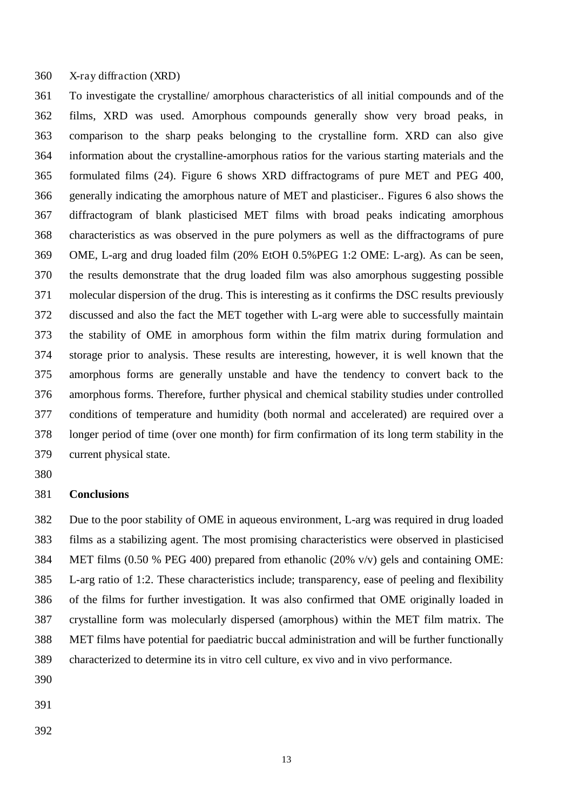360 X-ray diffraction (XRD)

361 To investigate the crystalline/ amorphous characteristics of all initial compounds and of the 362 films, XRD was used. Amorphous compounds generally show very broad peaks, in 363 comparison to the sharp peaks belonging to the crystalline form. XRD can also give 364 information about the crystalline-amorphous ratios for the various starting materials and the 365 formulated films (24). Figure 6 shows XRD diffractograms of pure MET and PEG 400, 366 generally indicating the amorphous nature of MET and plasticiser.. Figures 6 also shows the 367 diffractogram of blank plasticised MET films with broad peaks indicating amorphous 368 characteristics as was observed in the pure polymers as well as the diffractograms of pure 369 OME, L-arg and drug loaded film (20% EtOH 0.5%PEG 1:2 OME: L-arg). As can be seen, 370 the results demonstrate that the drug loaded film was also amorphous suggesting possible 371 molecular dispersion of the drug. This is interesting as it confirms the DSC results previously 372 discussed and also the fact the MET together with L-arg were able to successfully maintain 373 the stability of OME in amorphous form within the film matrix during formulation and 374 storage prior to analysis. These results are interesting, however, it is well known that the 375 amorphous forms are generally unstable and have the tendency to convert back to the 376 amorphous forms. Therefore, further physical and chemical stability studies under controlled 377 conditions of temperature and humidity (both normal and accelerated) are required over a 378 longer period of time (over one month) for firm confirmation of its long term stability in the 379 current physical state.

380

#### 381 **Conclusions**

382 Due to the poor stability of OME in aqueous environment, L-arg was required in drug loaded 383 films as a stabilizing agent. The most promising characteristics were observed in plasticised 384 MET films (0.50 % PEG 400) prepared from ethanolic (20% v/v) gels and containing OME: 385 L-arg ratio of 1:2. These characteristics include; transparency, ease of peeling and flexibility 386 of the films for further investigation. It was also confirmed that OME originally loaded in 387 crystalline form was molecularly dispersed (amorphous) within the MET film matrix. The 388 MET films have potential for paediatric buccal administration and will be further functionally 389 characterized to determine its in vitro cell culture, ex vivo and in vivo performance.

- 390
- 391
- 392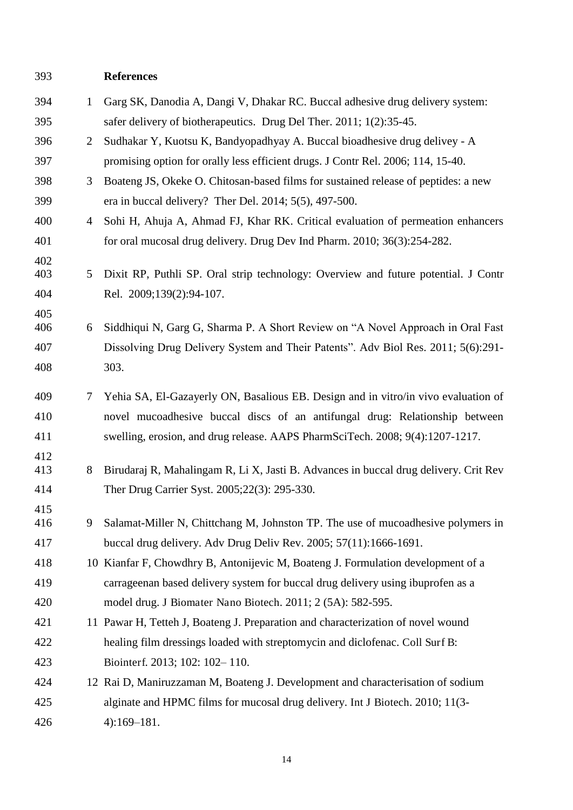### 393 **References**

| 394        | $\mathbf{1}$   | Garg SK, Danodia A, Dangi V, Dhakar RC. Buccal adhesive drug delivery system:                                                        |
|------------|----------------|--------------------------------------------------------------------------------------------------------------------------------------|
| 395        |                | safer delivery of biotherapeutics. Drug Del Ther. 2011; 1(2):35-45.                                                                  |
| 396        | 2              | Sudhakar Y, Kuotsu K, Bandyopadhyay A. Buccal bioadhesive drug delivey - A                                                           |
| 397        |                | promising option for orally less efficient drugs. J Contr Rel. 2006; 114, 15-40.                                                     |
| 398        | 3              | Boateng JS, Okeke O. Chitosan-based films for sustained release of peptides: a new                                                   |
| 399        |                | era in buccal delivery? Ther Del. $2014$ ; $5(5)$ , $497-500$ .                                                                      |
| 400        | $\overline{4}$ | Sohi H, Ahuja A, Ahmad FJ, Khar RK. Critical evaluation of permeation enhancers                                                      |
| 401        |                | for oral mucosal drug delivery. Drug Dev Ind Pharm. 2010; 36(3):254-282.                                                             |
| 402        |                |                                                                                                                                      |
| 403        | 5              | Dixit RP, Puthli SP. Oral strip technology: Overview and future potential. J Contr                                                   |
| 404        |                | Rel. 2009;139(2):94-107.                                                                                                             |
| 405<br>406 | 6              | Siddhiqui N, Garg G, Sharma P. A Short Review on "A Novel Approach in Oral Fast                                                      |
| 407        |                | Dissolving Drug Delivery System and Their Patents". Adv Biol Res. 2011; 5(6):291-                                                    |
| 408        |                | 303.                                                                                                                                 |
|            |                |                                                                                                                                      |
| 409        | 7              | Yehia SA, El-Gazayerly ON, Basalious EB. Design and in vitro/in vivo evaluation of                                                   |
| 410        |                | novel mucoadhesive buccal discs of an antifungal drug: Relationship between                                                          |
| 411        |                | swelling, erosion, and drug release. AAPS PharmSciTech. 2008; 9(4):1207-1217.                                                        |
| 412<br>413 | 8              |                                                                                                                                      |
| 414        |                | Birudaraj R, Mahalingam R, Li X, Jasti B. Advances in buccal drug delivery. Crit Rev<br>Ther Drug Carrier Syst. 2005;22(3): 295-330. |
| 415        |                |                                                                                                                                      |
| 416        |                | 9 Salamat-Miller N, Chittchang M, Johnston TP. The use of mucoadhesive polymers in                                                   |
| 417        |                | buccal drug delivery. Adv Drug Deliv Rev. $2005$ ; $57(11)$ : 1666-1691.                                                             |
| 418        |                | 10 Kianfar F, Chowdhry B, Antonijevic M, Boateng J. Formulation development of a                                                     |
| 419        |                | carrageenan based delivery system for buccal drug delivery using ibuprofen as a                                                      |
| 420        |                | model drug. J Biomater Nano Biotech. 2011; 2 (5A): 582-595.                                                                          |
| 421        |                | 11 Pawar H, Tetteh J, Boateng J. Preparation and characterization of novel wound                                                     |
| 422        |                | healing film dressings loaded with streptomycin and diclofenac. Coll Surf B:                                                         |
| 423        |                | Biointerf. 2013; 102: 102-110.                                                                                                       |
| 424        |                | 12 Rai D, Maniruzzaman M, Boateng J. Development and characterisation of sodium                                                      |
| 425        |                | alginate and HPMC films for mucosal drug delivery. Int J Biotech. 2010; 11(3-                                                        |
| 426        |                | $4):169-181.$                                                                                                                        |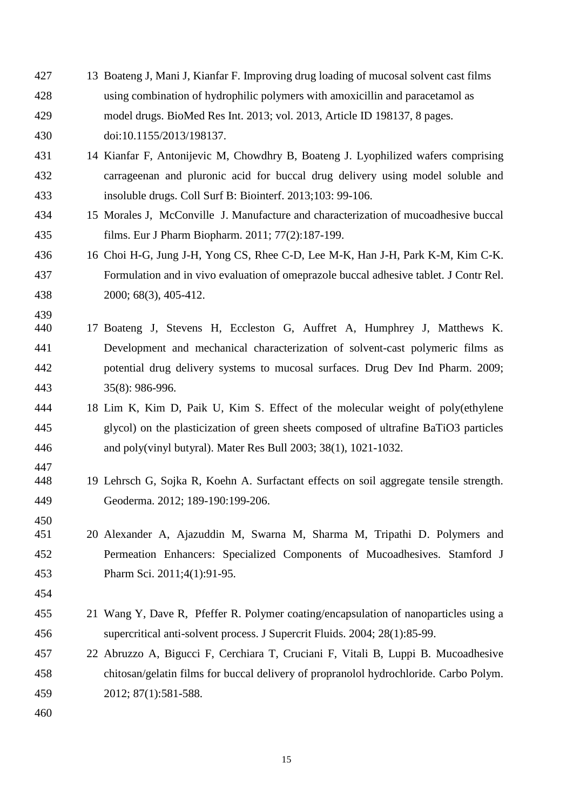| 427        | 13 Boateng J, Mani J, Kianfar F. Improving drug loading of mucosal solvent cast films  |
|------------|----------------------------------------------------------------------------------------|
| 428        | using combination of hydrophilic polymers with amoxicillin and paracetamol as          |
| 429        | model drugs. BioMed Res Int. 2013; vol. 2013, Article ID 198137, 8 pages.              |
| 430        | doi:10.1155/2013/198137.                                                               |
| 431        | 14 Kianfar F, Antonijevic M, Chowdhry B, Boateng J. Lyophilized wafers comprising      |
| 432        | carrageenan and pluronic acid for buccal drug delivery using model soluble and         |
| 433        | insoluble drugs. Coll Surf B: Biointerf. 2013;103: 99-106.                             |
| 434        | 15 Morales J, McConville J. Manufacture and characterization of mucoadhesive buccal    |
| 435        | films. Eur J Pharm Biopharm. 2011; 77(2):187-199.                                      |
| 436        | 16 Choi H-G, Jung J-H, Yong CS, Rhee C-D, Lee M-K, Han J-H, Park K-M, Kim C-K.         |
| 437        | Formulation and in vivo evaluation of omeprazole buccal adhesive tablet. J Contr Rel.  |
| 438        | 2000; 68(3), 405-412.                                                                  |
| 439        |                                                                                        |
| 440        | 17 Boateng J, Stevens H, Eccleston G, Auffret A, Humphrey J, Matthews K.               |
| 441        | Development and mechanical characterization of solvent-cast polymeric films as         |
| 442        | potential drug delivery systems to mucosal surfaces. Drug Dev Ind Pharm. 2009;         |
| 443        | 35(8): 986-996.                                                                        |
| 444        | 18 Lim K, Kim D, Paik U, Kim S. Effect of the molecular weight of poly(ethylene        |
| 445        | glycol) on the plasticization of green sheets composed of ultrafine BaTiO3 particles   |
| 446        | and poly(vinyl butyral). Mater Res Bull 2003; 38(1), 1021-1032.                        |
| 447<br>448 | 19 Lehrsch G, Sojka R, Koehn A. Surfactant effects on soil aggregate tensile strength. |
| 449        | Geoderma. 2012; 189-190:199-206.                                                       |
| 450        |                                                                                        |
| 451        | 20 Alexander A, Ajazuddin M, Swarna M, Sharma M, Tripathi D. Polymers and              |
| 452        | Permeation Enhancers: Specialized Components of Mucoadhesives. Stamford J              |
| 453        | Pharm Sci. 2011;4(1):91-95.                                                            |
| 454        |                                                                                        |
| 455        | 21 Wang Y, Dave R, Pfeffer R. Polymer coating/encapsulation of nanoparticles using a   |
| 456        | supercritical anti-solvent process. J Supercrit Fluids. 2004; 28(1):85-99.             |
| 457        | 22 Abruzzo A, Bigucci F, Cerchiara T, Cruciani F, Vitali B, Luppi B. Mucoadhesive      |
| 458        | chitosan/gelatin films for buccal delivery of propranolol hydrochloride. Carbo Polym.  |
| 459        | 2012; 87(1):581-588.                                                                   |
| 460        |                                                                                        |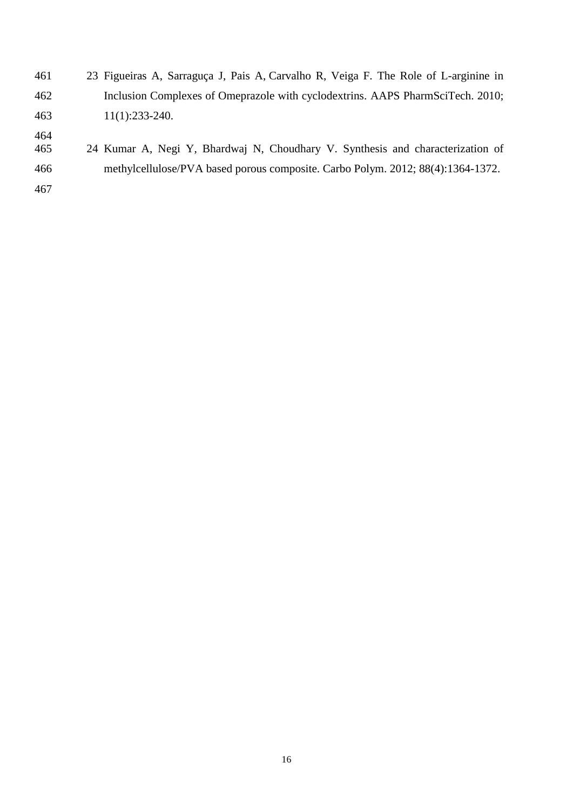| 461        | 23 Figueiras A, Sarraguça J, Pais A, Carvalho R, Veiga F. The Role of L-arginine in |
|------------|-------------------------------------------------------------------------------------|
| 462        | Inclusion Complexes of Omeprazole with cyclodextrins. AAPS PharmSciTech. 2010;      |
| 463        | $11(1):233-240.$                                                                    |
| 464<br>465 | 24 Kumar A, Negi Y, Bhardwaj N, Choudhary V. Synthesis and characterization of      |
| 466        | methylcellulose/PVA based porous composite. Carbo Polym. 2012; 88(4):1364-1372.     |
| 467        |                                                                                     |
|            |                                                                                     |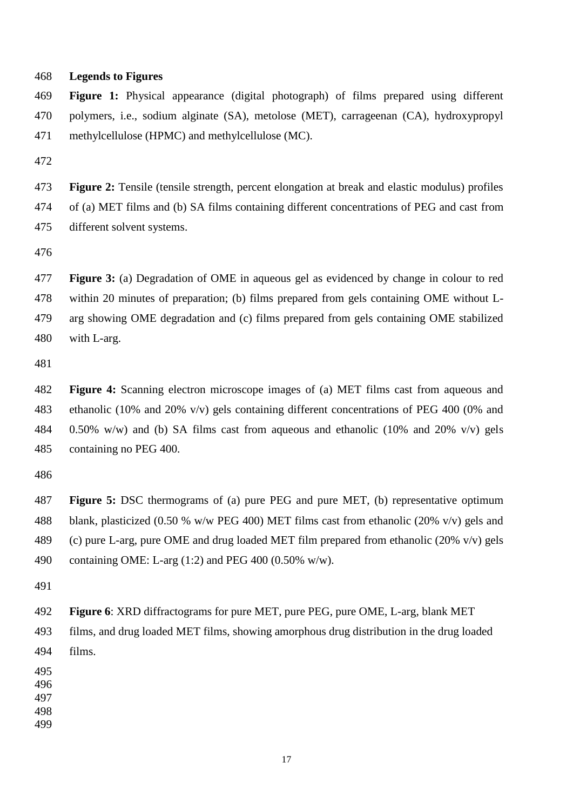#### 468 **Legends to Figures**

469 **Figure 1:** Physical appearance (digital photograph) of films prepared using different 470 polymers, i.e., sodium alginate (SA), metolose (MET), carrageenan (CA), hydroxypropyl 471 methylcellulose (HPMC) and methylcellulose (MC).

472

473 **Figure 2:** Tensile (tensile strength, percent elongation at break and elastic modulus) profiles 474 of (a) MET films and (b) SA films containing different concentrations of PEG and cast from 475 different solvent systems.

476

477 **Figure 3:** (a) Degradation of OME in aqueous gel as evidenced by change in colour to red 478 within 20 minutes of preparation; (b) films prepared from gels containing OME without L-479 arg showing OME degradation and (c) films prepared from gels containing OME stabilized 480 with L-arg.

481

482 **Figure 4:** Scanning electron microscope images of (a) MET films cast from aqueous and 483 ethanolic (10% and 20% v/v) gels containing different concentrations of PEG 400 (0% and 484 0.50% w/w) and (b) SA films cast from aqueous and ethanolic (10% and 20% v/v) gels 485 containing no PEG 400.

486

487 **Figure 5:** DSC thermograms of (a) pure PEG and pure MET, (b) representative optimum 488 blank, plasticized (0.50 % w/w PEG 400) MET films cast from ethanolic (20% v/v) gels and 489 (c) pure L-arg, pure OME and drug loaded MET film prepared from ethanolic  $(20\% \text{ v/v})$  gels 490 containing OME: L-arg (1:2) and PEG 400 (0.50% w/w).

491

492 **Figure 6**: XRD diffractograms for pure MET, pure PEG, pure OME, L-arg, blank MET

493 films, and drug loaded MET films, showing amorphous drug distribution in the drug loaded 494 films.

495

496

497

498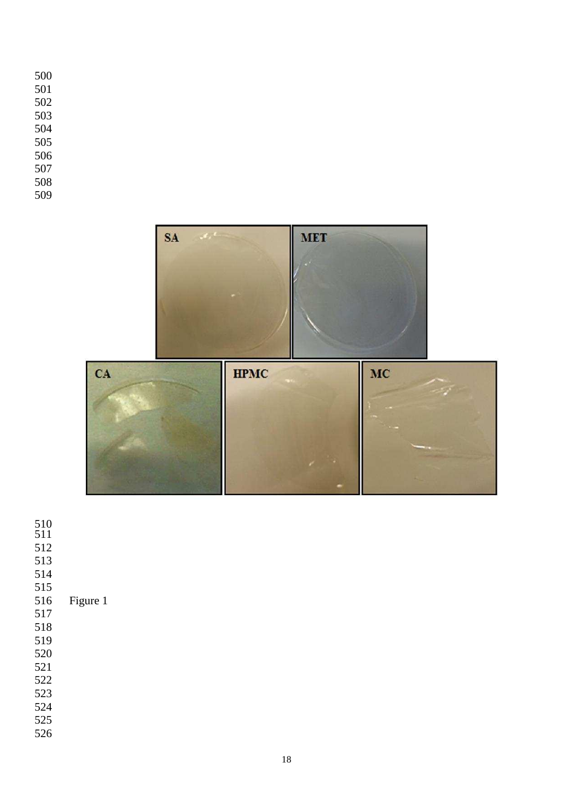

- 
- 
- 
- 
- 515<br>516

## Figure 1

- 
- 
- 
- 
- 
- 
- 
- 
-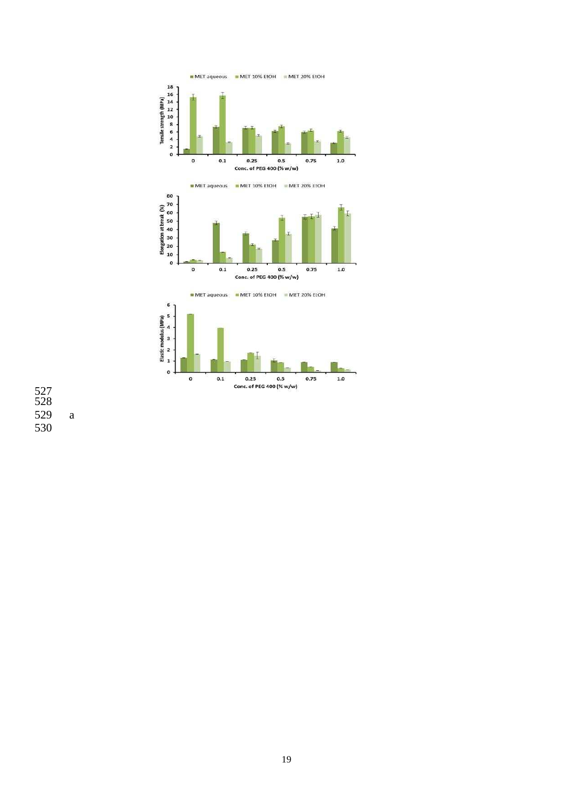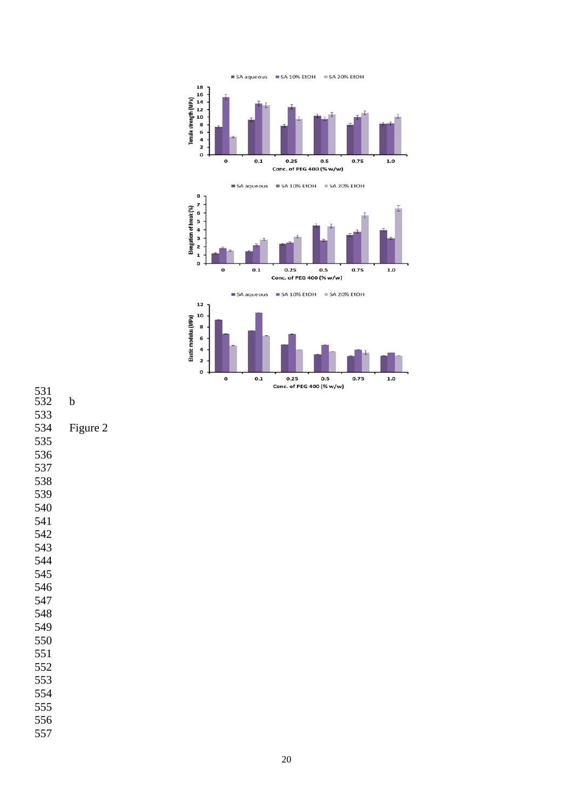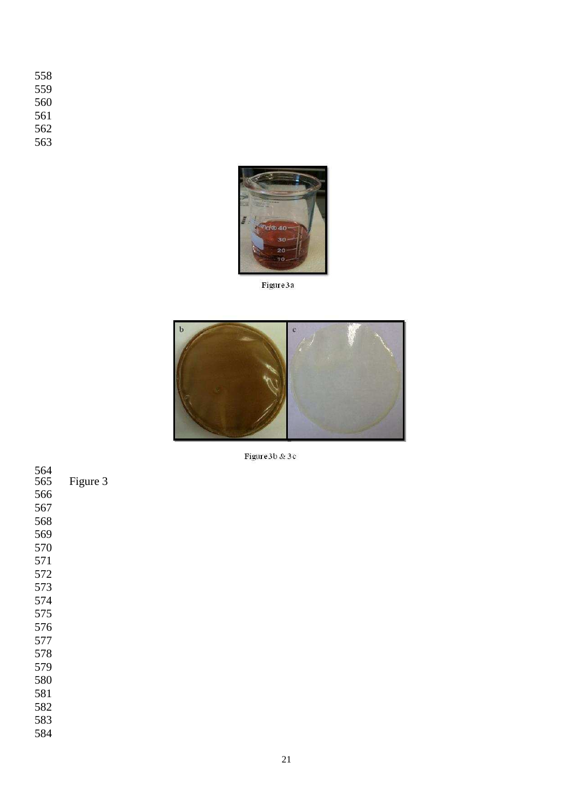- 
- 
- 
- 



Figure 3a



Figure 3b & 3c

| 564<br>565 | Figure 3 |
|------------|----------|
| 566        |          |
| 567        |          |
| 568        |          |
| 569        |          |
| 570        |          |
| 571        |          |
| 572        |          |
| 573        |          |
| 574        |          |
| 575        |          |
| 576        |          |
| 577        |          |
| 578        |          |
| 579        |          |
| 580        |          |
| 581        |          |
| 582        |          |
| 583        |          |
| 584        |          |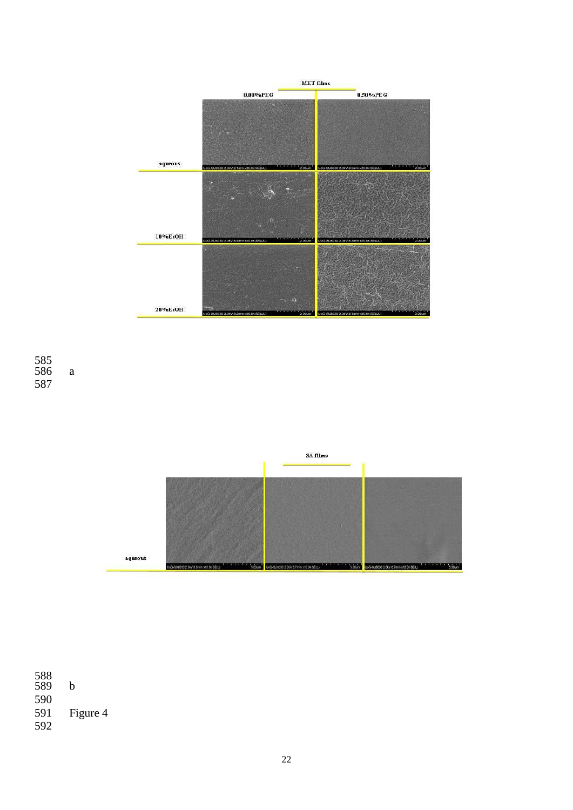





588 589 b 590 Figure 4 591<br>592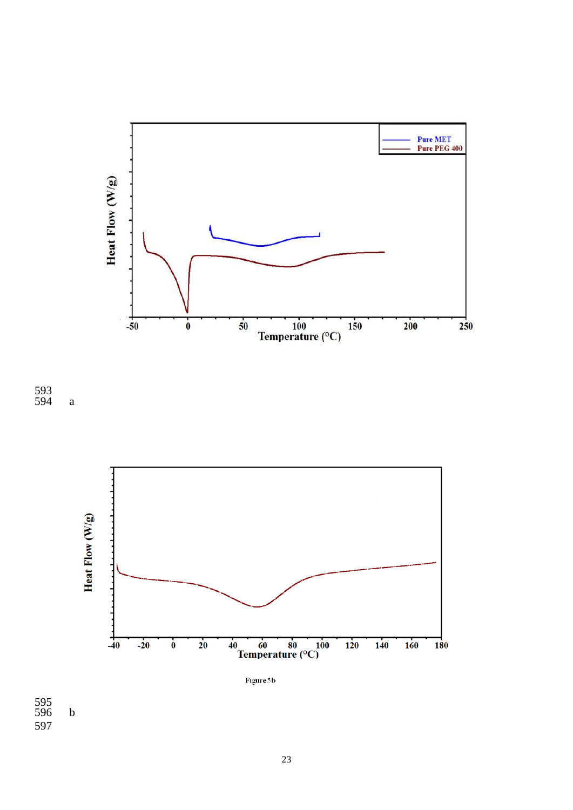





Figure 5b

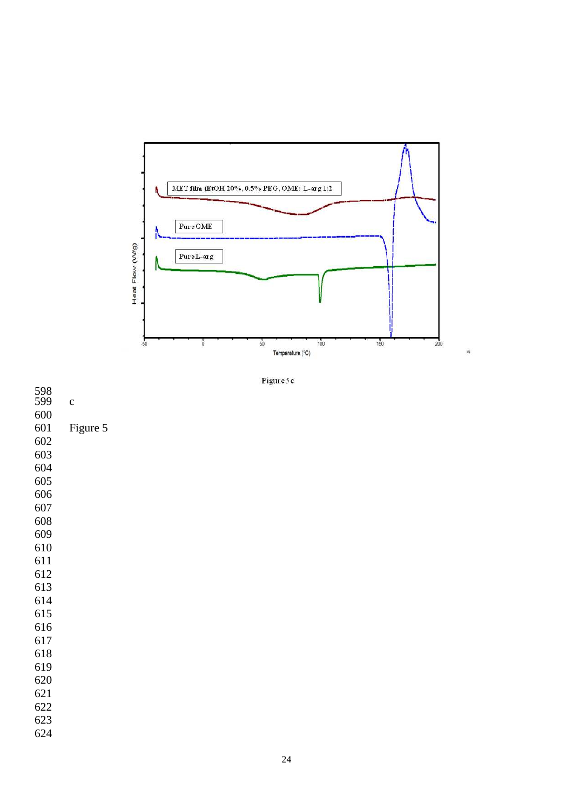

Figure 5c